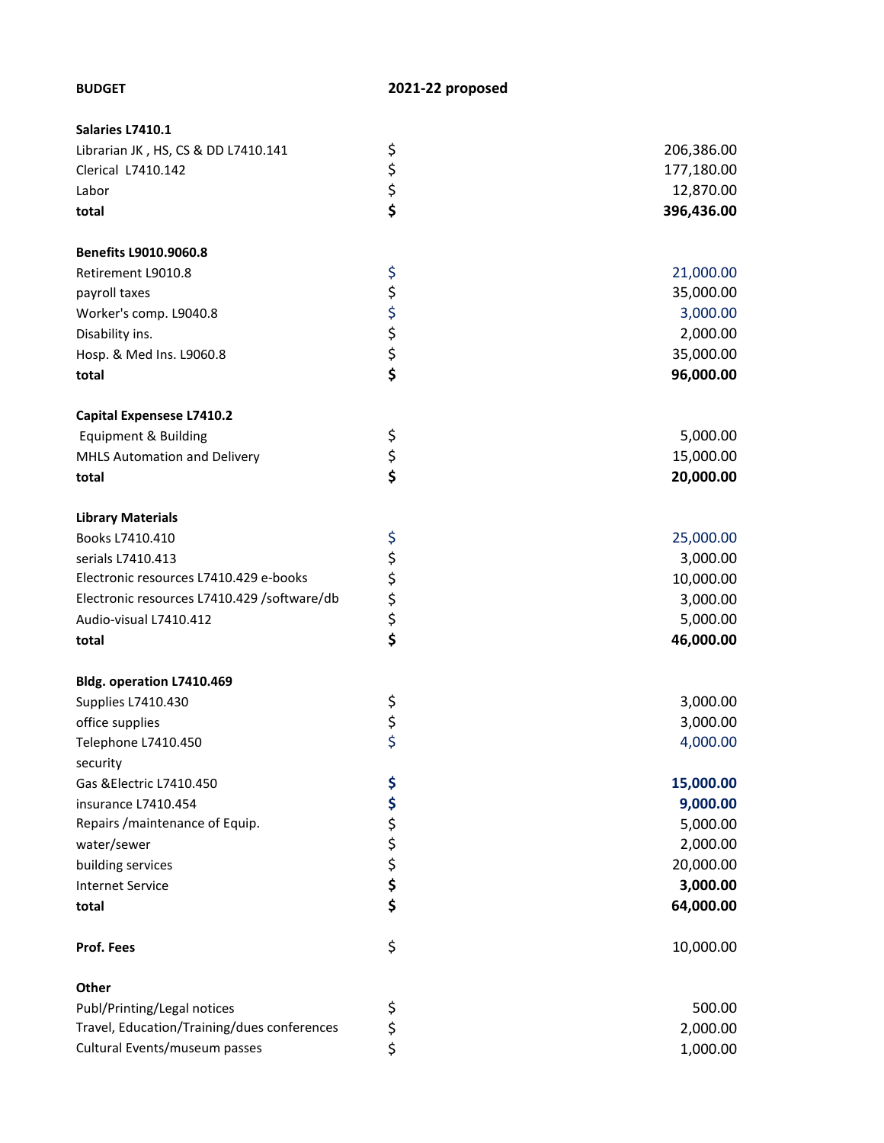| Salaries L7410.1                            |                |            |
|---------------------------------------------|----------------|------------|
| Librarian JK, HS, CS & DD L7410.141         |                | 206,386.00 |
| Clerical L7410.142                          |                | 177,180.00 |
| Labor                                       | ららら            | 12,870.00  |
| total                                       |                | 396,436.00 |
| <b>Benefits L9010.9060.8</b>                |                |            |
| Retirement L9010.8                          |                | 21,000.00  |
| payroll taxes                               |                | 35,000.00  |
| Worker's comp. L9040.8                      |                | 3,000.00   |
| Disability ins.                             |                | 2,000.00   |
| Hosp. & Med Ins. L9060.8                    |                | 35,000.00  |
| total                                       | ぐぐぐぐ           | 96,000.00  |
|                                             |                |            |
| <b>Capital Expensese L7410.2</b>            |                |            |
| <b>Equipment &amp; Building</b>             |                | 5,000.00   |
| MHLS Automation and Delivery                | \$<br>\$<br>\$ | 15,000.00  |
| total                                       |                | 20,000.00  |
| <b>Library Materials</b>                    |                |            |
| Books L7410.410                             |                | 25,000.00  |
| serials L7410.413                           |                | 3,000.00   |
| Electronic resources L7410.429 e-books      |                | 10,000.00  |
| Electronic resources L7410.429 /software/db |                | 3,000.00   |
| Audio-visual L7410.412                      | ぐやみやす          | 5,000.00   |
| total                                       |                | 46,000.00  |
| Bldg. operation L7410.469                   |                |            |
| Supplies L7410.430                          |                | 3,000.00   |
| office supplies                             |                | 3,000.00   |
| Telephone L7410.450                         | \$\$\$         | 4,000.00   |
| security                                    |                |            |
| Gas & Electric L7410.450                    | \$             | 15,000.00  |
| insurance L7410.454                         | \$             | 9,000.00   |
| Repairs / maintenance of Equip.             |                | 5,000.00   |
| water/sewer                                 |                | 2,000.00   |
| building services                           | \$\$\$\$       | 20,000.00  |
| <b>Internet Service</b>                     |                | 3,000.00   |
| total                                       | \$             | 64,000.00  |
| Prof. Fees                                  | \$             | 10,000.00  |
| Other                                       |                |            |
| Publ/Printing/Legal notices                 | \$             | 500.00     |
| Travel, Education/Training/dues conferences | \$             | 2,000.00   |
| Cultural Events/museum passes               | \$             | 1,000.00   |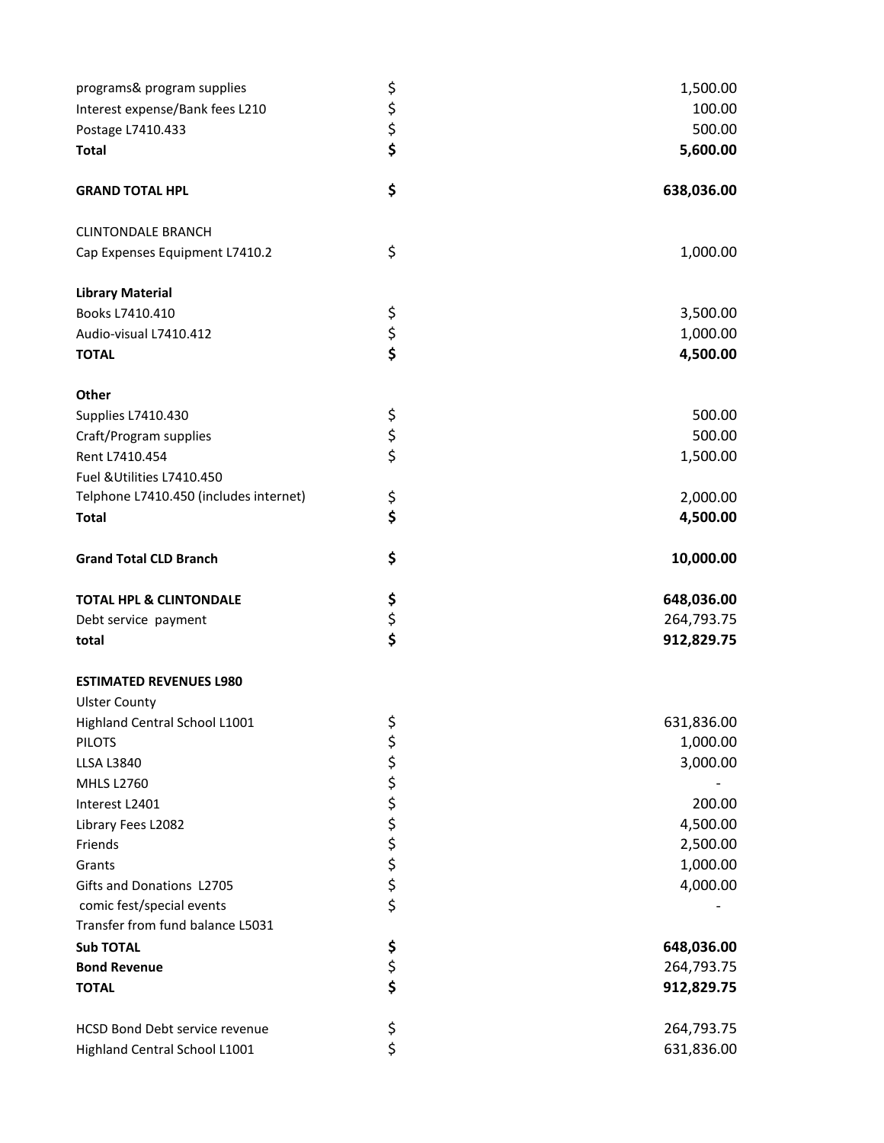| programs& program supplies             |                | 1,500.00   |
|----------------------------------------|----------------|------------|
| Interest expense/Bank fees L210        | ららら            | 100.00     |
| Postage L7410.433                      |                | 500.00     |
| <b>Total</b>                           |                | 5,600.00   |
| <b>GRAND TOTAL HPL</b>                 | \$             | 638,036.00 |
| <b>CLINTONDALE BRANCH</b>              |                |            |
| Cap Expenses Equipment L7410.2         | \$             | 1,000.00   |
| <b>Library Material</b>                |                |            |
| Books L7410.410                        |                | 3,500.00   |
| Audio-visual L7410.412                 | \$<br>\$<br>\$ | 1,000.00   |
| <b>TOTAL</b>                           |                | 4,500.00   |
| Other                                  |                |            |
| Supplies L7410.430                     |                | 500.00     |
| Craft/Program supplies                 | \$\$\$         | 500.00     |
| Rent L7410.454                         |                | 1,500.00   |
| Fuel & Utilities L7410.450             |                |            |
| Telphone L7410.450 (includes internet) | \$             | 2,000.00   |
| <b>Total</b>                           | \$             | 4,500.00   |
| <b>Grand Total CLD Branch</b>          | \$             | 10,000.00  |
| <b>TOTAL HPL &amp; CLINTONDALE</b>     | \$             | 648,036.00 |
| Debt service payment                   | \$<br>\$       | 264,793.75 |
| total                                  |                | 912,829.75 |
| <b>ESTIMATED REVENUES L980</b>         |                |            |
| <b>Ulster County</b>                   |                |            |
| Highland Central School L1001          | \$             | 631,836.00 |
| <b>PILOTS</b>                          |                | 1,000.00   |
| <b>LLSA L3840</b>                      |                | 3,000.00   |
| <b>MHLS L2760</b>                      |                |            |
| Interest L2401                         | やややみ ややや       | 200.00     |
| Library Fees L2082                     |                | 4,500.00   |
| Friends                                |                | 2,500.00   |
| Grants<br>Gifts and Donations L2705    |                | 1,000.00   |
| comic fest/special events              |                | 4,000.00   |
| Transfer from fund balance L5031       |                |            |
| <b>Sub TOTAL</b>                       |                | 648,036.00 |
| <b>Bond Revenue</b>                    | \$             | 264,793.75 |
| <b>TOTAL</b>                           | \$<br>\$       | 912,829.75 |
| HCSD Bond Debt service revenue         |                | 264,793.75 |
| Highland Central School L1001          | \$<br>\$       | 631,836.00 |
|                                        |                |            |